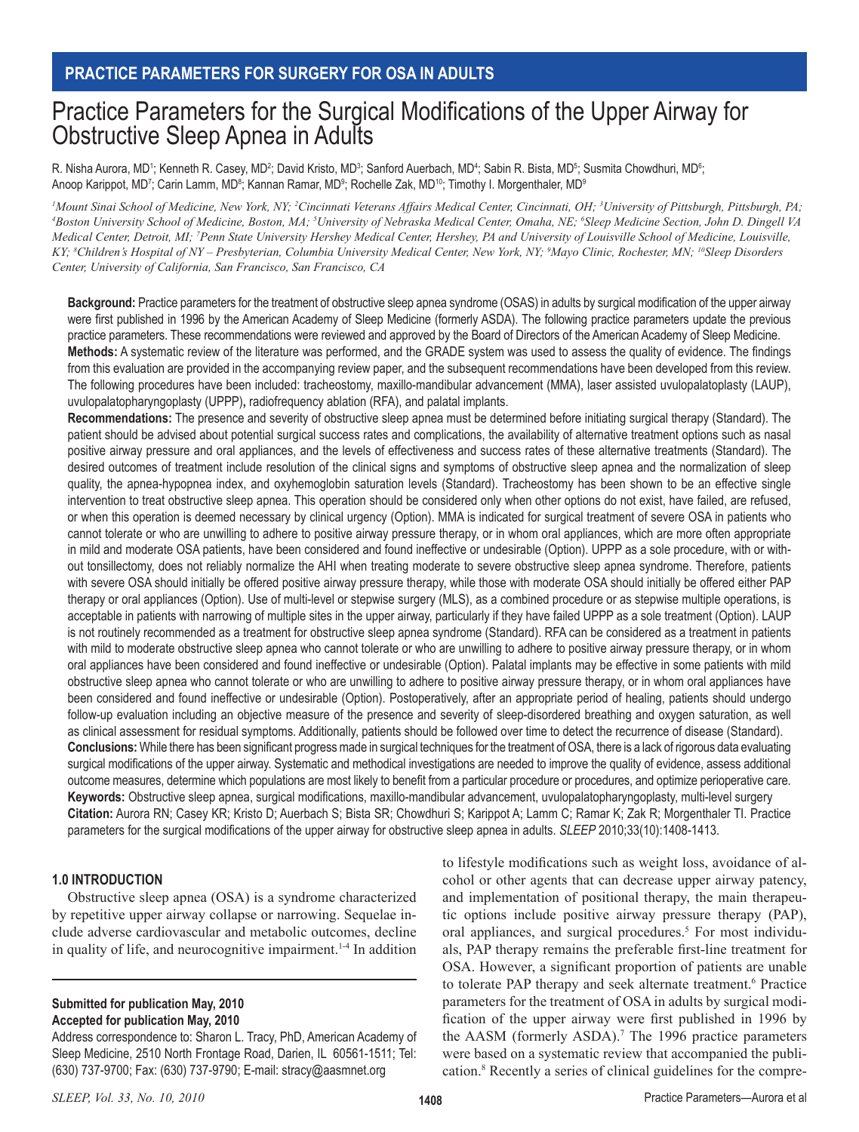# Practice Parameters for the Surgical Modifications of the Upper Airway for Obstructive Sleep Apnea in Adults

R. Nisha Aurora, MD<sup>1</sup>; Kenneth R. Casey, MD<sup>2</sup>; David Kristo, MD<sup>3</sup>; Sanford Auerbach, MD<sup>4</sup>; Sabin R. Bista, MD<sup>5</sup>; Susmita Chowdhuri, MD<sup>6</sup>; Anoop Karippot, MD<sup>7</sup>; Carin Lamm, MD<sup>8</sup>; Kannan Ramar, MD<sup>9</sup>; Rochelle Zak, MD<sup>10</sup>; Timothy I. Morgenthaler, MD<sup>9</sup>

<sup>*I Mount Sinai School of Medicine, New York, NY; <sup>2</sup>Cincinnati Veterans Affairs Medical Center, Cincinnati, OH; <sup>3</sup>University of Pittsburgh, Pittsburgh, PA;<br><sup>4</sup>Boston University School of Medicine, Boston, MA: <sup>5</sup>Universi</sup>* Boston University School of Medicine, Boston, MA; <sup>5</sup>University of Nebraska Medical Center, Omaha, NE; <sup>6</sup>Sleep Medicine Section, John D. Dingell VA *Medical Center, Detroit, MI; 7 Penn State University Hershey Medical Center, Hershey, PA and University of Louisville School of Medicine, Louisville, KY; 8 Children's Hospital of NY – Presbyterian, Columbia University Medical Center, New York, NY; 9 Mayo Clinic, Rochester, MN; 10Sleep Disorders Center, University of California, San Francisco, San Francisco, CA*

**Background:** Practice parameters for the treatment of obstructive sleep apnea syndrome (OSAS) in adults by surgical modification of the upper airway were first published in 1996 by the American Academy of Sleep Medicine (formerly ASDA). The following practice parameters update the previous practice parameters. These recommendations were reviewed and approved by the Board of Directors of the American Academy of Sleep Medicine. **Methods:** A systematic review of the literature was performed, and the GRADE system was used to assess the quality of evidence. The findings from this evaluation are provided in the accompanying review paper, and the subsequent recommendations have been developed from this review. The following procedures have been included: tracheostomy, maxillo-mandibular advancement (MMA), laser assisted uvulopalatoplasty (LAUP), uvulopalatopharyngoplasty (UPPP)**,** radiofrequency ablation (RFA), and palatal implants.

**Recommendations:** The presence and severity of obstructive sleep apnea must be determined before initiating surgical therapy (Standard). The patient should be advised about potential surgical success rates and complications, the availability of alternative treatment options such as nasal positive airway pressure and oral appliances, and the levels of effectiveness and success rates of these alternative treatments (Standard). The desired outcomes of treatment include resolution of the clinical signs and symptoms of obstructive sleep apnea and the normalization of sleep quality, the apnea-hypopnea index, and oxyhemoglobin saturation levels (Standard). Tracheostomy has been shown to be an effective single intervention to treat obstructive sleep apnea. This operation should be considered only when other options do not exist, have failed, are refused, or when this operation is deemed necessary by clinical urgency (Option). MMA is indicated for surgical treatment of severe OSA in patients who cannot tolerate or who are unwilling to adhere to positive airway pressure therapy, or in whom oral appliances, which are more often appropriate in mild and moderate OSA patients, have been considered and found ineffective or undesirable (Option). UPPP as a sole procedure, with or without tonsillectomy, does not reliably normalize the AHI when treating moderate to severe obstructive sleep apnea syndrome. Therefore, patients with severe OSA should initially be offered positive airway pressure therapy, while those with moderate OSA should initially be offered either PAP therapy or oral appliances (Option). Use of multi-level or stepwise surgery (MLS), as a combined procedure or as stepwise multiple operations, is acceptable in patients with narrowing of multiple sites in the upper airway, particularly if they have failed UPPP as a sole treatment (Option). LAUP is not routinely recommended as a treatment for obstructive sleep apnea syndrome (Standard). RFA can be considered as a treatment in patients with mild to moderate obstructive sleep apnea who cannot tolerate or who are unwilling to adhere to positive airway pressure therapy, or in whom oral appliances have been considered and found ineffective or undesirable (Option). Palatal implants may be effective in some patients with mild obstructive sleep apnea who cannot tolerate or who are unwilling to adhere to positive airway pressure therapy, or in whom oral appliances have been considered and found ineffective or undesirable (Option). Postoperatively, after an appropriate period of healing, patients should undergo follow-up evaluation including an objective measure of the presence and severity of sleep-disordered breathing and oxygen saturation, as well as clinical assessment for residual symptoms. Additionally, patients should be followed over time to detect the recurrence of disease (Standard). **Conclusions:** While there has been significant progress made in surgical techniques for the treatment of OSA, there is a lack of rigorous data evaluating surgical modifications of the upper airway. Systematic and methodical investigations are needed to improve the quality of evidence, assess additional outcome measures, determine which populations are most likely to benefit from a particular procedure or procedures, and optimize perioperative care. **Keywords:** Obstructive sleep apnea, surgical modifications, maxillo-mandibular advancement, uvulopalatopharyngoplasty, multi-level surgery **Citation:** Aurora RN; Casey KR; Kristo D; Auerbach S; Bista SR; Chowdhuri S; Karippot A; Lamm C; Ramar K; Zak R; Morgenthaler TI. Practice parameters for the surgical modifications of the upper airway for obstructive sleep apnea in adults. *SLEEP* 2010;33(10):1408-1413.

## **1.0 INTRODUCTION**

Obstructive sleep apnea (OSA) is a syndrome characterized by repetitive upper airway collapse or narrowing. Sequelae include adverse cardiovascular and metabolic outcomes, decline in quality of life, and neurocognitive impairment.<sup>1-4</sup> In addition

#### **Submitted for publication May, 2010 Accepted for publication May, 2010**

to lifestyle modifications such as weight loss, avoidance of alcohol or other agents that can decrease upper airway patency, and implementation of positional therapy, the main therapeutic options include positive airway pressure therapy (PAP), oral appliances, and surgical procedures.<sup>5</sup> For most individuals, PAP therapy remains the preferable first-line treatment for OSA. However, a significant proportion of patients are unable to tolerate PAP therapy and seek alternate treatment.<sup>6</sup> Practice parameters for the treatment of OSA in adults by surgical modification of the upper airway were first published in 1996 by the AASM (formerly ASDA).<sup>7</sup> The 1996 practice parameters were based on a systematic review that accompanied the publication.<sup>8</sup> Recently a series of clinical guidelines for the compre-

Address correspondence to: Sharon L. Tracy, PhD, American Academy of Sleep Medicine, 2510 North Frontage Road, Darien, IL 60561-1511; Tel: (630) 737-9700; Fax: (630) 737-9790; E-mail: stracy@aasmnet.org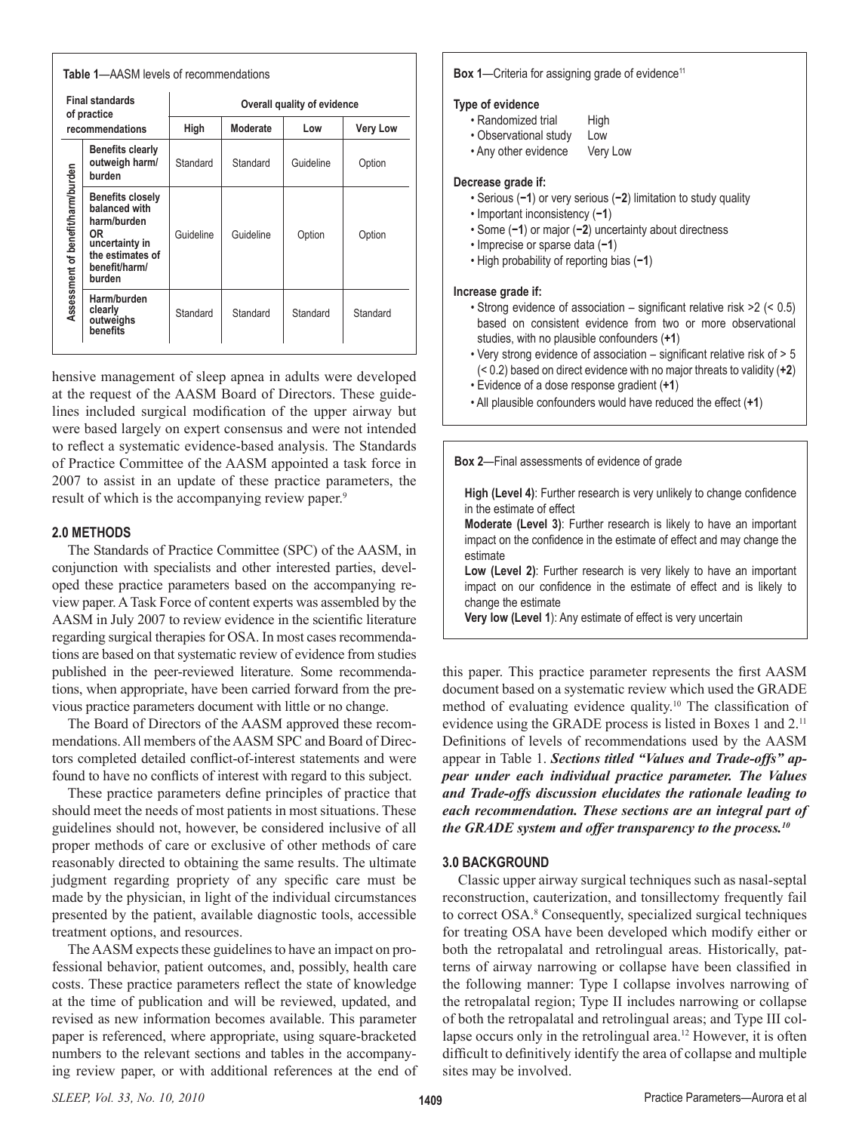| <b>Final standards</b><br>of practice<br>recommendations |                                                                                                                                | Overall quality of evidence |           |           |                 |  |  |
|----------------------------------------------------------|--------------------------------------------------------------------------------------------------------------------------------|-----------------------------|-----------|-----------|-----------------|--|--|
|                                                          |                                                                                                                                | High                        | Moderate  | Low       | <b>Very Low</b> |  |  |
| Assessment of benefit/harm/burden                        | <b>Benefits clearly</b><br>outweigh harm/<br>burden                                                                            | Standard                    | Standard  | Guideline | Option          |  |  |
|                                                          | <b>Benefits closely</b><br>balanced with<br>harm/burden<br>0R<br>uncertainty in<br>the estimates of<br>benefit/harm/<br>burden | Guideline                   | Guideline | Option    | Option          |  |  |
|                                                          | Harm/burden<br>clearly<br>outweighs<br>benefits                                                                                | Standard                    | Standard  | Standard  | Standard        |  |  |

hensive management of sleep apnea in adults were developed at the request of the AASM Board of Directors. These guidelines included surgical modification of the upper airway but were based largely on expert consensus and were not intended to reflect a systematic evidence-based analysis. The Standards of Practice Committee of the AASM appointed a task force in 2007 to assist in an update of these practice parameters, the result of which is the accompanying review paper.<sup>9</sup>

## **2.0 METHODS**

The Standards of Practice Committee (SPC) of the AASM, in conjunction with specialists and other interested parties, developed these practice parameters based on the accompanying review paper. A Task Force of content experts was assembled by the AASM in July 2007 to review evidence in the scientific literature regarding surgical therapies for OSA. In most cases recommendations are based on that systematic review of evidence from studies published in the peer-reviewed literature. Some recommendations, when appropriate, have been carried forward from the previous practice parameters document with little or no change.

The Board of Directors of the AASM approved these recommendations. All members of the AASM SPC and Board of Directors completed detailed conflict-of-interest statements and were found to have no conflicts of interest with regard to this subject.

These practice parameters define principles of practice that should meet the needs of most patients in most situations. These guidelines should not, however, be considered inclusive of all proper methods of care or exclusive of other methods of care reasonably directed to obtaining the same results. The ultimate judgment regarding propriety of any specific care must be made by the physician, in light of the individual circumstances presented by the patient, available diagnostic tools, accessible treatment options, and resources.

The AASM expects these guidelines to have an impact on professional behavior, patient outcomes, and, possibly, health care costs. These practice parameters reflect the state of knowledge at the time of publication and will be reviewed, updated, and revised as new information becomes available. This parameter paper is referenced, where appropriate, using square-bracketed numbers to the relevant sections and tables in the accompanying review paper, or with additional references at the end of

#### **Box 1**—Criteria for assigning grade of evidence<sup>11</sup>

#### **Type of evidence**

| • Randomized trial |  | High |
|--------------------|--|------|
|                    |  |      |

- Observational study Low
- Any other evidence Very Low

#### **Decrease grade if:**

- Serious (**−1**) or very serious (**−2**) limitation to study quality
- Important inconsistency (**−1**)
- Some (**−1**) or major (**−2**) uncertainty about directness
- Imprecise or sparse data (**−1**)
- High probability of reporting bias (**−1**)

#### **Increase grade if:**

- Strong evidence of association significant relative risk >2 (< 0.5) based on consistent evidence from two or more observational studies, with no plausible confounders (**+1**)
- Very strong evidence of association significant relative risk of > 5 (< 0.2) based on direct evidence with no major threats to validity (**+2**)
- Evidence of a dose response gradient (**+1**)
- All plausible confounders would have reduced the effect (**+1**)

**Box 2**—Final assessments of evidence of grade

**High (Level 4)**: Further research is very unlikely to change confidence in the estimate of effect

**Moderate (Level 3)**: Further research is likely to have an important impact on the confidence in the estimate of effect and may change the estimate

**Low (Level 2)**: Further research is very likely to have an important impact on our confidence in the estimate of effect and is likely to change the estimate

**Very low (Level 1**): Any estimate of effect is very uncertain

this paper. This practice parameter represents the first AASM document based on a systematic review which used the GRADE method of evaluating evidence quality.10 The classification of evidence using the GRADE process is listed in Boxes 1 and 2.11 Definitions of levels of recommendations used by the AASM appear in Table 1. *Sections titled "Values and Trade-offs" appear under each individual practice parameter. The Values and Trade-offs discussion elucidates the rationale leading to each recommendation. These sections are an integral part of the GRADE system and offer transparency to the process.10*

## **3.0 BACKGROUND**

Classic upper airway surgical techniques such as nasal-septal reconstruction, cauterization, and tonsillectomy frequently fail to correct OSA.8 Consequently, specialized surgical techniques for treating OSA have been developed which modify either or both the retropalatal and retrolingual areas. Historically, patterns of airway narrowing or collapse have been classified in the following manner: Type I collapse involves narrowing of the retropalatal region; Type II includes narrowing or collapse of both the retropalatal and retrolingual areas; and Type III collapse occurs only in the retrolingual area.<sup>12</sup> However, it is often difficult to definitively identify the area of collapse and multiple sites may be involved.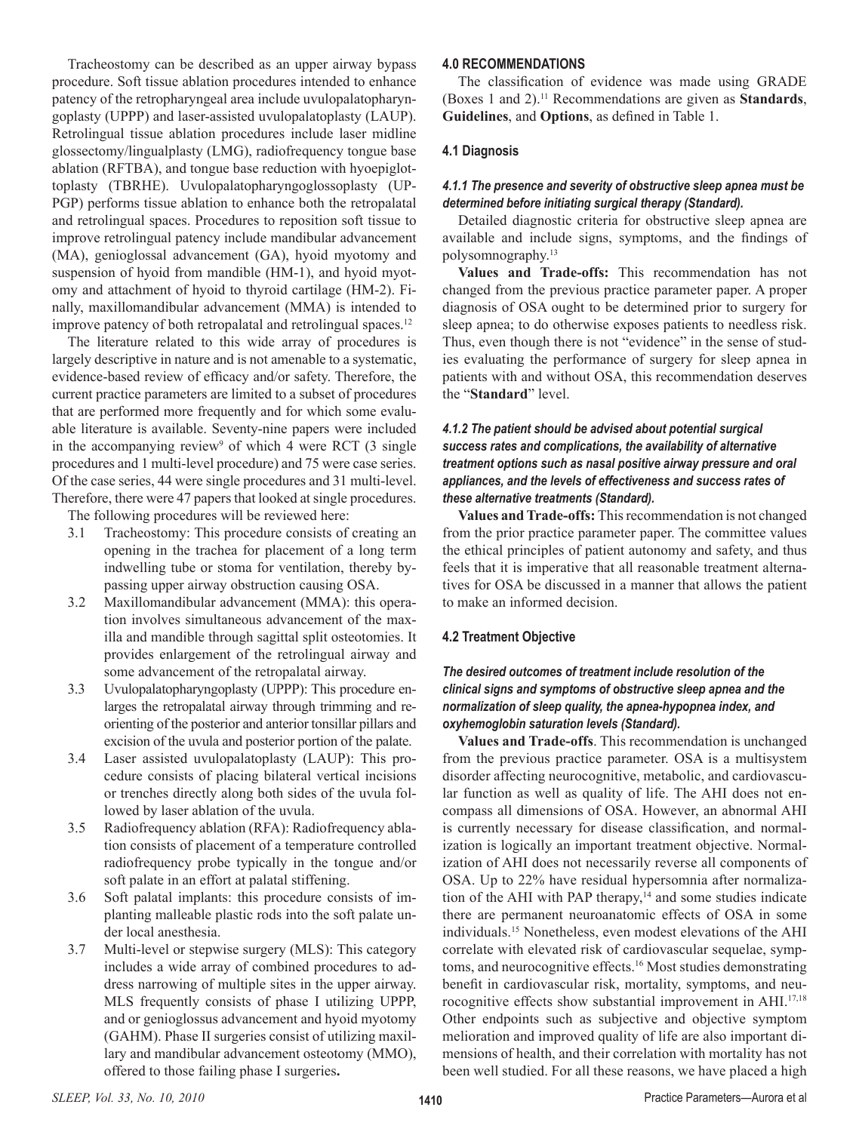Tracheostomy can be described as an upper airway bypass procedure. Soft tissue ablation procedures intended to enhance patency of the retropharyngeal area include uvulopalatopharyngoplasty (UPPP) and laser-assisted uvulopalatoplasty (LAUP). Retrolingual tissue ablation procedures include laser midline glossectomy/lingualplasty (LMG), radiofrequency tongue base ablation (RFTBA), and tongue base reduction with hyoepiglottoplasty (TBRHE). Uvulopalatopharyngoglossoplasty (UP-PGP) performs tissue ablation to enhance both the retropalatal and retrolingual spaces. Procedures to reposition soft tissue to improve retrolingual patency include mandibular advancement (MA), genioglossal advancement (GA), hyoid myotomy and suspension of hyoid from mandible (HM-1), and hyoid myotomy and attachment of hyoid to thyroid cartilage (HM-2). Finally, maxillomandibular advancement (MMA) is intended to improve patency of both retropalatal and retrolingual spaces.<sup>12</sup>

The literature related to this wide array of procedures is largely descriptive in nature and is not amenable to a systematic, evidence-based review of efficacy and/or safety. Therefore, the current practice parameters are limited to a subset of procedures that are performed more frequently and for which some evaluable literature is available. Seventy-nine papers were included in the accompanying review<sup>9</sup> of which 4 were RCT (3 single procedures and 1 multi-level procedure) and 75 were case series. Of the case series, 44 were single procedures and 31 multi-level. Therefore, there were 47 papers that looked at single procedures.

The following procedures will be reviewed here:

- 3.1 Tracheostomy: This procedure consists of creating an opening in the trachea for placement of a long term indwelling tube or stoma for ventilation, thereby bypassing upper airway obstruction causing OSA.
- 3.2 Maxillomandibular advancement (MMA): this operation involves simultaneous advancement of the maxilla and mandible through sagittal split osteotomies. It provides enlargement of the retrolingual airway and some advancement of the retropalatal airway.
- 3.3 Uvulopalatopharyngoplasty (UPPP): This procedure enlarges the retropalatal airway through trimming and reorienting of the posterior and anterior tonsillar pillars and excision of the uvula and posterior portion of the palate.
- 3.4 Laser assisted uvulopalatoplasty (LAUP): This procedure consists of placing bilateral vertical incisions or trenches directly along both sides of the uvula followed by laser ablation of the uvula.
- 3.5 Radiofrequency ablation (RFA): Radiofrequency ablation consists of placement of a temperature controlled radiofrequency probe typically in the tongue and/or soft palate in an effort at palatal stiffening.
- 3.6 Soft palatal implants: this procedure consists of implanting malleable plastic rods into the soft palate under local anesthesia.
- 3.7 Multi-level or stepwise surgery (MLS): This category includes a wide array of combined procedures to address narrowing of multiple sites in the upper airway. MLS frequently consists of phase I utilizing UPPP, and or genioglossus advancement and hyoid myotomy (GAHM). Phase II surgeries consist of utilizing maxillary and mandibular advancement osteotomy (MMO), offered to those failing phase I surgeries**.**

#### **4.0 RECOMMENDATIONS**

The classification of evidence was made using GRADE (Boxes 1 and 2).11 Recommendations are given as **Standards**, **Guidelines**, and **Options**, as defined in Table 1.

#### **4.1 Diagnosis**

#### *4.1.1 The presence and severity of obstructive sleep apnea must be determined before initiating surgical therapy (Standard).*

Detailed diagnostic criteria for obstructive sleep apnea are available and include signs, symptoms, and the findings of polysomnography.13

**Values and Trade-offs:** This recommendation has not changed from the previous practice parameter paper. A proper diagnosis of OSA ought to be determined prior to surgery for sleep apnea; to do otherwise exposes patients to needless risk. Thus, even though there is not "evidence" in the sense of studies evaluating the performance of surgery for sleep apnea in patients with and without OSA, this recommendation deserves the "**Standard**" level.

## *4.1.2 The patient should be advised about potential surgical success rates and complications, the availability of alternative treatment options such as nasal positive airway pressure and oral appliances, and the levels of effectiveness and success rates of these alternative treatments (Standard).*

**Values and Trade-offs:** This recommendation is not changed from the prior practice parameter paper. The committee values the ethical principles of patient autonomy and safety, and thus feels that it is imperative that all reasonable treatment alternatives for OSA be discussed in a manner that allows the patient to make an informed decision.

#### **4.2 Treatment Objective**

## *The desired outcomes of treatment include resolution of the clinical signs and symptoms of obstructive sleep apnea and the normalization of sleep quality, the apnea-hypopnea index, and oxyhemoglobin saturation levels (Standard).*

**Values and Trade-offs**. This recommendation is unchanged from the previous practice parameter. OSA is a multisystem disorder affecting neurocognitive, metabolic, and cardiovascular function as well as quality of life. The AHI does not encompass all dimensions of OSA. However, an abnormal AHI is currently necessary for disease classification, and normalization is logically an important treatment objective. Normalization of AHI does not necessarily reverse all components of OSA. Up to 22% have residual hypersomnia after normalization of the AHI with PAP therapy,<sup>14</sup> and some studies indicate there are permanent neuroanatomic effects of OSA in some individuals.15 Nonetheless, even modest elevations of the AHI correlate with elevated risk of cardiovascular sequelae, symptoms, and neurocognitive effects.<sup>16</sup> Most studies demonstrating benefit in cardiovascular risk, mortality, symptoms, and neurocognitive effects show substantial improvement in AHI.17,18 Other endpoints such as subjective and objective symptom melioration and improved quality of life are also important dimensions of health, and their correlation with mortality has not been well studied. For all these reasons, we have placed a high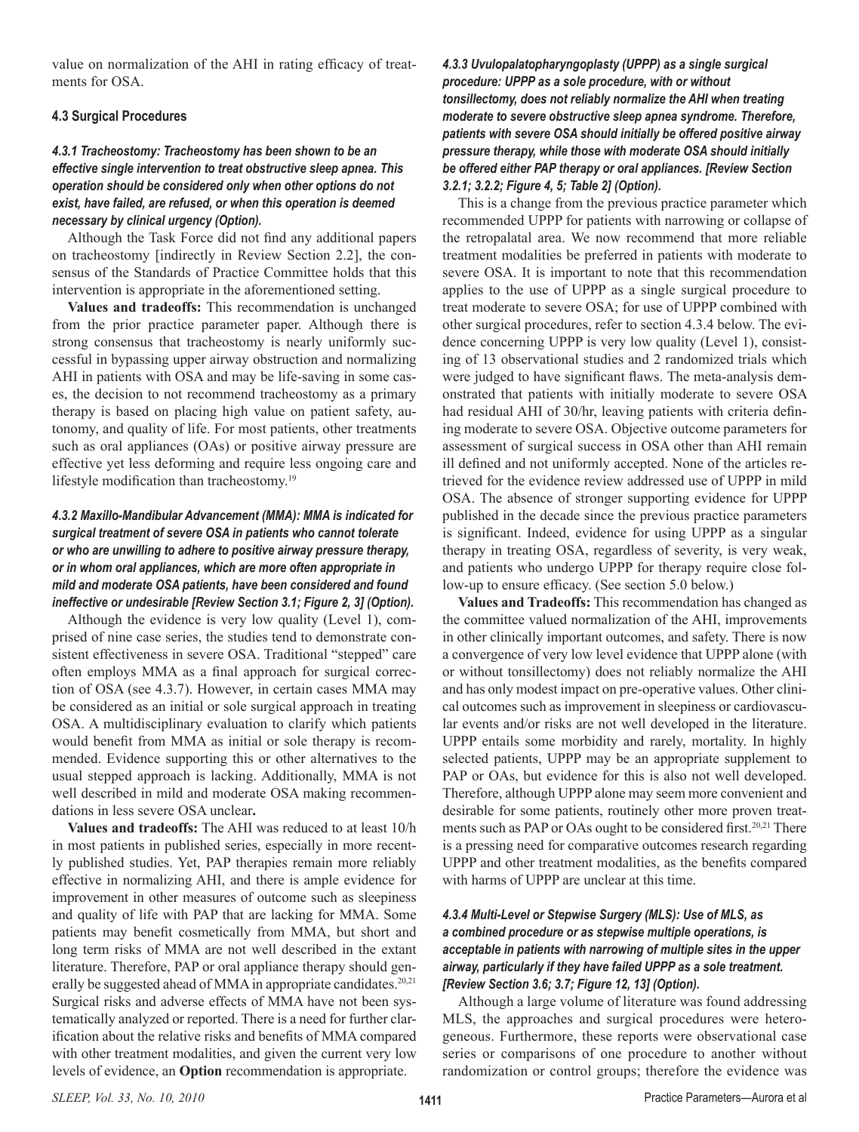value on normalization of the AHI in rating efficacy of treatments for OSA.

#### **4.3 Surgical Procedures**

## *4.3.1 Tracheostomy: Tracheostomy has been shown to be an effective single intervention to treat obstructive sleep apnea. This operation should be considered only when other options do not exist, have failed, are refused, or when this operation is deemed necessary by clinical urgency (Option).*

Although the Task Force did not find any additional papers on tracheostomy [indirectly in Review Section 2.2], the consensus of the Standards of Practice Committee holds that this intervention is appropriate in the aforementioned setting.

**Values and tradeoffs:** This recommendation is unchanged from the prior practice parameter paper. Although there is strong consensus that tracheostomy is nearly uniformly successful in bypassing upper airway obstruction and normalizing AHI in patients with OSA and may be life-saving in some cases, the decision to not recommend tracheostomy as a primary therapy is based on placing high value on patient safety, autonomy, and quality of life. For most patients, other treatments such as oral appliances (OAs) or positive airway pressure are effective yet less deforming and require less ongoing care and lifestyle modification than tracheostomy.<sup>19</sup>

# *4.3.2 Maxillo-Mandibular Advancement (MMA): MMA is indicated for surgical treatment of severe OSA in patients who cannot tolerate or who are unwilling to adhere to positive airway pressure therapy, or in whom oral appliances, which are more often appropriate in mild and moderate OSA patients, have been considered and found ineffective or undesirable [Review Section 3.1; Figure 2, 3] (Option).*

Although the evidence is very low quality (Level 1), comprised of nine case series, the studies tend to demonstrate consistent effectiveness in severe OSA. Traditional "stepped" care often employs MMA as a final approach for surgical correction of OSA (see 4.3.7). However, in certain cases MMA may be considered as an initial or sole surgical approach in treating OSA. A multidisciplinary evaluation to clarify which patients would benefit from MMA as initial or sole therapy is recommended. Evidence supporting this or other alternatives to the usual stepped approach is lacking. Additionally, MMA is not well described in mild and moderate OSA making recommendations in less severe OSA unclear**.**

**Values and tradeoffs:** The AHI was reduced to at least 10/h in most patients in published series, especially in more recently published studies. Yet, PAP therapies remain more reliably effective in normalizing AHI, and there is ample evidence for improvement in other measures of outcome such as sleepiness and quality of life with PAP that are lacking for MMA. Some patients may benefit cosmetically from MMA, but short and long term risks of MMA are not well described in the extant literature. Therefore, PAP or oral appliance therapy should generally be suggested ahead of MMA in appropriate candidates.<sup>20,21</sup> Surgical risks and adverse effects of MMA have not been systematically analyzed or reported. There is a need for further clarification about the relative risks and benefits of MMA compared with other treatment modalities, and given the current very low levels of evidence, an **Option** recommendation is appropriate.

*4.3.3 Uvulopalatopharyngoplasty (UPPP) as a single surgical procedure: UPPP as a sole procedure, with or without tonsillectomy, does not reliably normalize the AHI when treating moderate to severe obstructive sleep apnea syndrome. Therefore, patients with severe OSA should initially be offered positive airway pressure therapy, while those with moderate OSA should initially be offered either PAP therapy or oral appliances. [Review Section 3.2.1; 3.2.2; Figure 4, 5; Table 2] (Option).*

This is a change from the previous practice parameter which recommended UPPP for patients with narrowing or collapse of the retropalatal area. We now recommend that more reliable treatment modalities be preferred in patients with moderate to severe OSA. It is important to note that this recommendation applies to the use of UPPP as a single surgical procedure to treat moderate to severe OSA; for use of UPPP combined with other surgical procedures, refer to section 4.3.4 below. The evidence concerning UPPP is very low quality (Level 1), consisting of 13 observational studies and 2 randomized trials which were judged to have significant flaws. The meta-analysis demonstrated that patients with initially moderate to severe OSA had residual AHI of 30/hr, leaving patients with criteria defining moderate to severe OSA. Objective outcome parameters for assessment of surgical success in OSA other than AHI remain ill defined and not uniformly accepted. None of the articles retrieved for the evidence review addressed use of UPPP in mild OSA. The absence of stronger supporting evidence for UPPP published in the decade since the previous practice parameters is significant. Indeed, evidence for using UPPP as a singular therapy in treating OSA, regardless of severity, is very weak, and patients who undergo UPPP for therapy require close follow-up to ensure efficacy. (See section 5.0 below.)

**Values and Tradeoffs:** This recommendation has changed as the committee valued normalization of the AHI, improvements in other clinically important outcomes, and safety. There is now a convergence of very low level evidence that UPPP alone (with or without tonsillectomy) does not reliably normalize the AHI and has only modest impact on pre-operative values. Other clinical outcomes such as improvement in sleepiness or cardiovascular events and/or risks are not well developed in the literature. UPPP entails some morbidity and rarely, mortality. In highly selected patients, UPPP may be an appropriate supplement to PAP or OAs, but evidence for this is also not well developed. Therefore, although UPPP alone may seem more convenient and desirable for some patients, routinely other more proven treatments such as PAP or OAs ought to be considered first.<sup>20,21</sup> There is a pressing need for comparative outcomes research regarding UPPP and other treatment modalities, as the benefits compared with harms of UPPP are unclear at this time.

# *4.3.4 Multi-Level or Stepwise Surgery (MLS): Use of MLS, as a combined procedure or as stepwise multiple operations, is acceptable in patients with narrowing of multiple sites in the upper airway, particularly if they have failed UPPP as a sole treatment. [Review Section 3.6; 3.7; Figure 12, 13] (Option).*

Although a large volume of literature was found addressing MLS, the approaches and surgical procedures were heterogeneous. Furthermore, these reports were observational case series or comparisons of one procedure to another without randomization or control groups; therefore the evidence was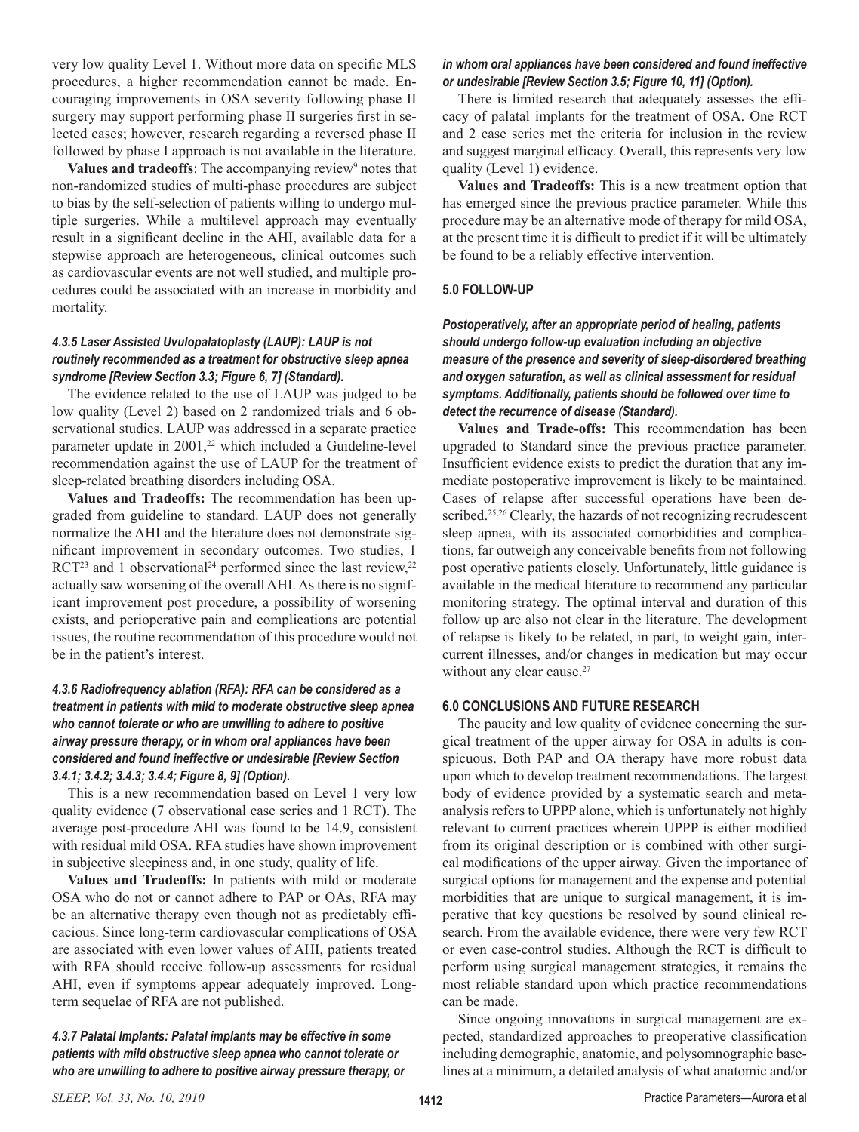very low quality Level 1. Without more data on specific MLS procedures, a higher recommendation cannot be made. Encouraging improvements in OSA severity following phase II surgery may support performing phase II surgeries first in selected cases; however, research regarding a reversed phase II followed by phase I approach is not available in the literature.

**Values and tradeoffs**: The accompanying review<sup>9</sup> notes that non-randomized studies of multi-phase procedures are subject to bias by the self-selection of patients willing to undergo multiple surgeries. While a multilevel approach may eventually result in a significant decline in the AHI, available data for a stepwise approach are heterogeneous, clinical outcomes such as cardiovascular events are not well studied, and multiple procedures could be associated with an increase in morbidity and mortality.

## *4.3.5 Laser Assisted Uvulopalatoplasty (LAUP): LAUP is not routinely recommended as a treatment for obstructive sleep apnea syndrome [Review Section 3.3; Figure 6, 7] (Standard).*

The evidence related to the use of LAUP was judged to be low quality (Level 2) based on 2 randomized trials and 6 observational studies. LAUP was addressed in a separate practice parameter update in 2001,<sup>22</sup> which included a Guideline-level recommendation against the use of LAUP for the treatment of sleep-related breathing disorders including OSA.

**Values and Tradeoffs:** The recommendation has been upgraded from guideline to standard. LAUP does not generally normalize the AHI and the literature does not demonstrate significant improvement in secondary outcomes. Two studies, 1 RCT<sup>23</sup> and 1 observational<sup>24</sup> performed since the last review,<sup>22</sup> actually saw worsening of the overall AHI. As there is no significant improvement post procedure, a possibility of worsening exists, and perioperative pain and complications are potential issues, the routine recommendation of this procedure would not be in the patient's interest.

# *4.3.6 Radiofrequency ablation (RFA): RFA can be considered as a treatment in patients with mild to moderate obstructive sleep apnea who cannot tolerate or who are unwilling to adhere to positive airway pressure therapy, or in whom oral appliances have been considered and found ineffective or undesirable [Review Section 3.4.1; 3.4.2; 3.4.3; 3.4.4; Figure 8, 9] (Option).*

This is a new recommendation based on Level 1 very low quality evidence (7 observational case series and 1 RCT). The average post-procedure AHI was found to be 14.9, consistent with residual mild OSA. RFA studies have shown improvement in subjective sleepiness and, in one study, quality of life.

**Values and Tradeoffs:** In patients with mild or moderate OSA who do not or cannot adhere to PAP or OAs, RFA may be an alternative therapy even though not as predictably efficacious. Since long-term cardiovascular complications of OSA are associated with even lower values of AHI, patients treated with RFA should receive follow-up assessments for residual AHI, even if symptoms appear adequately improved. Longterm sequelae of RFA are not published.

*4.3.7 Palatal Implants: Palatal implants may be effective in some patients with mild obstructive sleep apnea who cannot tolerate or who are unwilling to adhere to positive airway pressure therapy, or* 

## *in whom oral appliances have been considered and found ineffective or undesirable [Review Section 3.5; Figure 10, 11] (Option).*

There is limited research that adequately assesses the efficacy of palatal implants for the treatment of OSA. One RCT and 2 case series met the criteria for inclusion in the review and suggest marginal efficacy. Overall, this represents very low quality (Level 1) evidence.

**Values and Tradeoffs:** This is a new treatment option that has emerged since the previous practice parameter. While this procedure may be an alternative mode of therapy for mild OSA, at the present time it is difficult to predict if it will be ultimately be found to be a reliably effective intervention.

# **5.0 FOLLOW-UP**

*Postoperatively, after an appropriate period of healing, patients should undergo follow-up evaluation including an objective measure of the presence and severity of sleep-disordered breathing and oxygen saturation, as well as clinical assessment for residual symptoms. Additionally, patients should be followed over time to detect the recurrence of disease (Standard).*

**Values and Trade-offs:** This recommendation has been upgraded to Standard since the previous practice parameter. Insufficient evidence exists to predict the duration that any immediate postoperative improvement is likely to be maintained. Cases of relapse after successful operations have been described.<sup>25,26</sup> Clearly, the hazards of not recognizing recrudescent sleep apnea, with its associated comorbidities and complications, far outweigh any conceivable benefits from not following post operative patients closely. Unfortunately, little guidance is available in the medical literature to recommend any particular monitoring strategy. The optimal interval and duration of this follow up are also not clear in the literature. The development of relapse is likely to be related, in part, to weight gain, intercurrent illnesses, and/or changes in medication but may occur without any clear cause.<sup>27</sup>

## **6.0 CONCLUSIONS AND FUTURE RESEARCH**

The paucity and low quality of evidence concerning the surgical treatment of the upper airway for OSA in adults is conspicuous. Both PAP and OA therapy have more robust data upon which to develop treatment recommendations. The largest body of evidence provided by a systematic search and metaanalysis refers to UPPP alone, which is unfortunately not highly relevant to current practices wherein UPPP is either modified from its original description or is combined with other surgical modifications of the upper airway. Given the importance of surgical options for management and the expense and potential morbidities that are unique to surgical management, it is imperative that key questions be resolved by sound clinical research. From the available evidence, there were very few RCT or even case-control studies. Although the RCT is difficult to perform using surgical management strategies, it remains the most reliable standard upon which practice recommendations can be made.

Since ongoing innovations in surgical management are expected, standardized approaches to preoperative classification including demographic, anatomic, and polysomnographic baselines at a minimum, a detailed analysis of what anatomic and/or